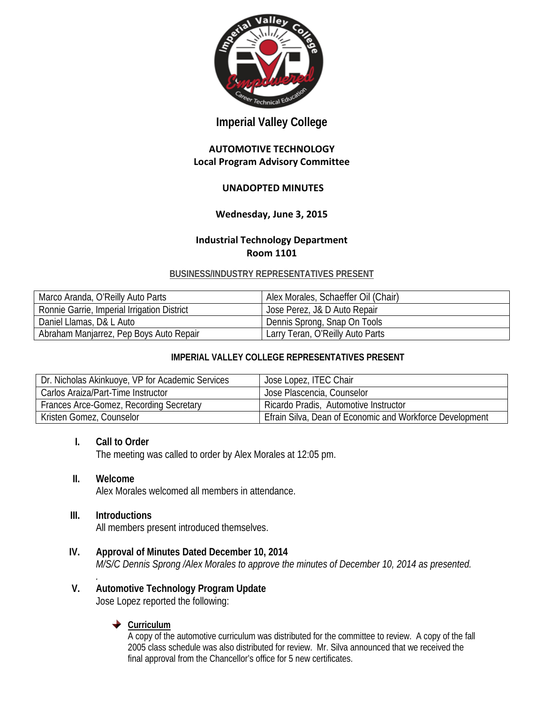

# **Imperial Valley College**

#### **AUTOMOTIVE TECHNOLOGY Local Program Advisory Committee**

### **UNADOPTED MINUTES**

### **Wednesday, June 3, 2015**

#### **Industrial Technology Department Room 1101**

#### **BUSINESS/INDUSTRY REPRESENTATIVES PRESENT**

| Marco Aranda, O'Reilly Auto Parts           | Alex Morales, Schaeffer Oil (Chair) |
|---------------------------------------------|-------------------------------------|
| Ronnie Garrie, Imperial Irrigation District | Jose Perez, J& D Auto Repair        |
| Daniel Llamas, D& L Auto                    | Dennis Sprong, Snap On Tools        |
| Abraham Manjarrez, Pep Boys Auto Repair     | Larry Teran, O'Reilly Auto Parts    |

### **IMPERIAL VALLEY COLLEGE REPRESENTATIVES PRESENT**

| Dr. Nicholas Akinkuoye, VP for Academic Services | Jose Lopez, ITEC Chair                                   |
|--------------------------------------------------|----------------------------------------------------------|
| Carlos Araiza/Part-Time Instructor               | Jose Plascencia, Counselor                               |
| Frances Arce-Gomez, Recording Secretary          | Ricardo Pradis, Automotive Instructor                    |
| Kristen Gomez, Counselor                         | Efrain Silva, Dean of Economic and Workforce Development |

#### **I. Call to Order**

The meeting was called to order by Alex Morales at 12:05 pm.

#### **II. Welcome**

Alex Morales welcomed all members in attendance.

#### **III. Introductions**

All members present introduced themselves.

- **IV. Approval of Minutes Dated December 10, 2014** *M/S/C Dennis Sprong /Alex Morales to approve the minutes of December 10, 2014 as presented.*
- *.* **V. Automotive Technology Program Update**

Jose Lopez reported the following:

### **← Curriculum**

A copy of the automotive curriculum was distributed for the committee to review. A copy of the fall 2005 class schedule was also distributed for review. Mr. Silva announced that we received the final approval from the Chancellor's office for 5 new certificates.